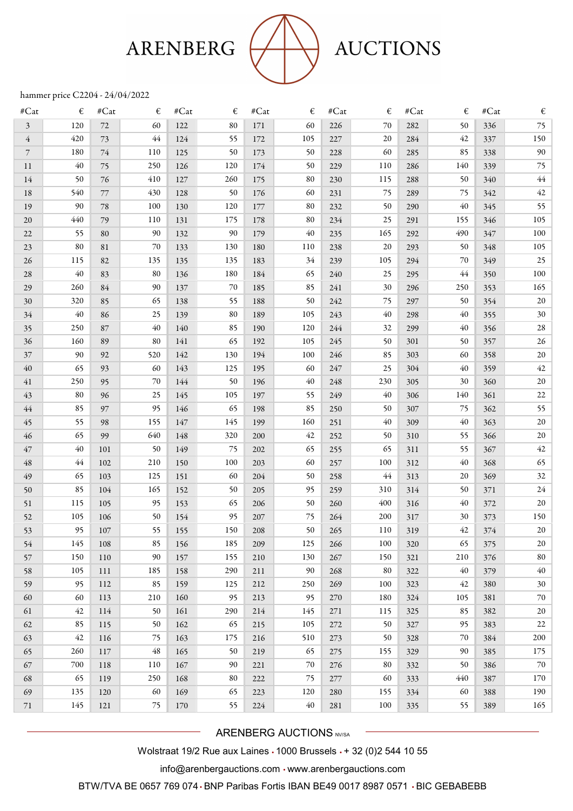## ARENBERG



## **AUCTIONS**

## hammer price C2204 - 24/04/2022

| $\#\text{Cat}$ | €   | $\#\mathbf{Cat}$ | €   | #Cat | €   | $\#Cat$ | €   | #Cat | €   | $\#Cat$ | €   | #Cat | €      |
|----------------|-----|------------------|-----|------|-----|---------|-----|------|-----|---------|-----|------|--------|
| 3              | 120 | 72               | 60  | 122  | 80  | 171     | 60  | 226  | 70  | 282     | 50  | 336  | 75     |
| $\overline{4}$ | 420 | 73               | 44  | 124  | 55  | 172     | 105 | 227  | 20  | 284     | 42  | 337  | 150    |
| $\overline{7}$ | 180 | 74               | 110 | 125  | 50  | 173     | 50  | 228  | 60  | 285     | 85  | 338  | 90     |
| 11             | 40  | 75               | 250 | 126  | 120 | 174     | 50  | 229  | 110 | 286     | 140 | 339  | 75     |
| 14             | 50  | 76               | 410 | 127  | 260 | 175     | 80  | 230  | 115 | 288     | 50  | 340  | 44     |
| 18             | 540 | 77               | 430 | 128  | 50  | 176     | 60  | 231  | 75  | 289     | 75  | 342  | 42     |
| 19             | 90  | 78               | 100 | 130  | 120 | 177     | 80  | 232  | 50  | 290     | 40  | 345  | 55     |
| 20             | 440 | 79               | 110 | 131  | 175 | 178     | 80  | 234  | 25  | 291     | 155 | 346  | 105    |
| 22             | 55  | 80               | 90  | 132  | 90  | 179     | 40  | 235  | 165 | 292     | 490 | 347  | 100    |
| 23             | 80  | 81               | 70  | 133  | 130 | 180     | 110 | 238  | 20  | 293     | 50  | 348  | 105    |
| 26             | 115 | 82               | 135 | 135  | 135 | 183     | 34  | 239  | 105 | 294     | 70  | 349  | 25     |
| 28             | 40  | 83               | 80  | 136  | 180 | 184     | 65  | 240  | 25  | 295     | 44  | 350  | 100    |
| 29             | 260 | 84               | 90  | 137  | 70  | 185     | 85  | 241  | 30  | 296     | 250 | 353  | 165    |
| 30             | 320 | 85               | 65  | 138  | 55  | 188     | 50  | 242  | 75  | 297     | 50  | 354  | 20     |
| 34             | 40  | 86               | 25  | 139  | 80  | 189     | 105 | 243  | 40  | 298     | 40  | 355  | $30\,$ |
| 35             | 250 | 87               | 40  | 140  | 85  | 190     | 120 | 244  | 32  | 299     | 40  | 356  | $28\,$ |
| 36             | 160 | 89               | 80  | 141  | 65  | 192     | 105 | 245  | 50  | 301     | 50  | 357  | 26     |
| 37             | 90  | 92               | 520 | 142  | 130 | 194     | 100 | 246  | 85  | 303     | 60  | 358  | 20     |
| 40             | 65  | 93               | 60  | 143  | 125 | 195     | 60  | 247  | 25  | 304     | 40  | 359  | 42     |
| 41             | 250 | 95               | 70  | 144  | 50  | 196     | 40  | 248  | 230 | 305     | 30  | 360  | 20     |
| 43             | 80  | 96               | 25  | 145  | 105 | 197     | 55  | 249  | 40  | 306     | 140 | 361  | $22\,$ |
| 44             | 85  | 97               | 95  | 146  | 65  | 198     | 85  | 250  | 50  | 307     | 75  | 362  | 55     |
| 45             | 55  | 98               | 155 | 147  | 145 | 199     | 160 | 251  | 40  | 309     | 40  | 363  | 20     |
| 46             | 65  | 99               | 640 | 148  | 320 | 200     | 42  | 252  | 50  | 310     | 55  | 366  | 20     |
| 47             | 40  | 101              | 50  | 149  | 75  | 202     | 65  | 255  | 65  | 311     | 55  | 367  | 42     |
| $\sqrt{48}$    | 44  | 102              | 210 | 150  | 100 | 203     | 60  | 257  | 100 | 312     | 40  | 368  | 65     |
| 49             | 65  | 103              | 125 | 151  | 60  | 204     | 50  | 258  | 44  | 313     | 20  | 369  | 32     |
| 50             | 85  | 104              | 165 | 152  | 50  | 205     | 95  | 259  | 310 | 314     | 50  | 371  | 24     |
| 51             | 115 | 105              | 95  | 153  | 65  | 206     | 50  | 260  | 400 | 316     | 40  | 372  | 20     |
| 52             | 105 | 106              | 50  | 154  | 95  | 207     | 75  | 264  | 200 | 317     | 30  | 373  | 150    |
| 53             | 95  | 107              | 55  | 155  | 150 | 208     | 50  | 265  | 110 | 319     | 42  | 374  | 20     |
| 54             | 145 | 108              | 85  | 156  | 185 | 209     | 125 | 266  | 100 | 320     | 65  | 375  | 20     |
| 57             | 150 | 110              | 90  | 157  | 155 | 210     | 130 | 267  | 150 | 321     | 210 | 376  | 80     |
| 58             | 105 | 111              | 185 | 158  | 290 | 211     | 90  | 268  | 80  | 322     | 40  | 379  | 40     |
| 59             | 95  | 112              | 85  | 159  | 125 | 212     | 250 | 269  | 100 | 323     | 42  | 380  | 30     |
| 60             | 60  | 113              | 210 | 160  | 95  | 213     | 95  | 270  | 180 | 324     | 105 | 381  | 70     |
| 61             | 42  | 114              | 50  | 161  | 290 | 214     | 145 | 271  | 115 | 325     | 85  | 382  | 20     |
| 62             | 85  | 115              | 50  | 162  | 65  | 215     | 105 | 272  | 50  | 327     | 95  | 383  | $22\,$ |
| 63             | 42  | 116              | 75  | 163  | 175 | 216     | 510 | 273  | 50  | 328     | 70  | 384  | 200    |
| 65             | 260 | 117              | 48  | 165  | 50  | 219     | 65  | 275  | 155 | 329     | 90  | 385  | 175    |
| 67             | 700 | 118              | 110 | 167  | 90  | 221     | 70  | 276  | 80  | 332     | 50  | 386  | 70     |
| 68             | 65  | 119              | 250 | 168  | 80  | 222     | 75  | 277  | 60  | 333     | 440 | 387  | 170    |
| 69             | 135 | 120              | 60  | 169  | 65  | 223     | 120 | 280  | 155 | 334     | 60  | 388  | 190    |
| 71             | 145 | 121              | 75  | 170  | 55  | 224     | 40  | 281  | 100 | 335     | 55  | 389  | 165    |
|                |     |                  |     |      |     |         |     |      |     |         |     |      |        |

ARENBERG AUCTIONS NV/SA

Wolstraat 19/2 Rue aux Laines • 1000 Brussels • + 32 (0)2 544 10 55

info@arenbergauctions.com • www.arenbergauctions.com

BTW/TVA BE 0657 769 074 • BNP Paribas Fortis IBAN BE49 0017 8987 0571 • BIC GEBABEBB